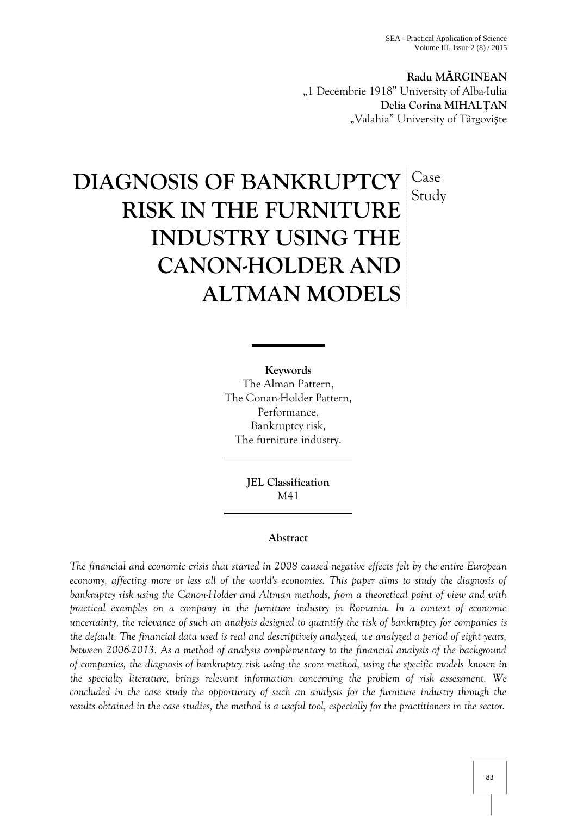**Radu M RGINEAN** "1 Decembrie 1918" University of Alba-Iulia **Delia Corina MIHALȚAN** "Valahia" University of Târgovi te

# **DIAGNOSIS OF BANKRUPTCY RISK IN THE FURNITURE INDUSTRY USING THE CANON-HOLDER AND ALTMAN MODELS** Case Study

**Keywords** The Alman Pattern, The Conan-Holder Pattern, Performance, Bankruptcy risk, The furniture industry.

> **JEL Classification** M41

## **Abstract**

*The financial and economic crisis that started in 2008 caused negative effects felt by the entire European economy, affecting more or less all of the world's economies. This paper aims to study the diagnosis of bankruptcy risk using the Canon-Holder and Altman methods, from a theoretical point of view and with practical examples on a company in the furniture industry in Romania. In a context of economic uncertainty, the relevance of such an analysis designed to quantify the risk of bankruptcy for companies is the default. The financial data used is real and descriptively analyzed, we analyzed a period of eight years, between 2006-2013. As a method of analysis complementary to the financial analysis of the background of companies, the diagnosis of bankruptcy risk using the score method, using the specific models known in the specialty literature, brings relevant information concerning the problem of risk assessment. We concluded in the case study the opportunity of such an analysis for the furniture industry through the results obtained in the case studies, the method is a useful tool, especially for the practitioners in the sector.*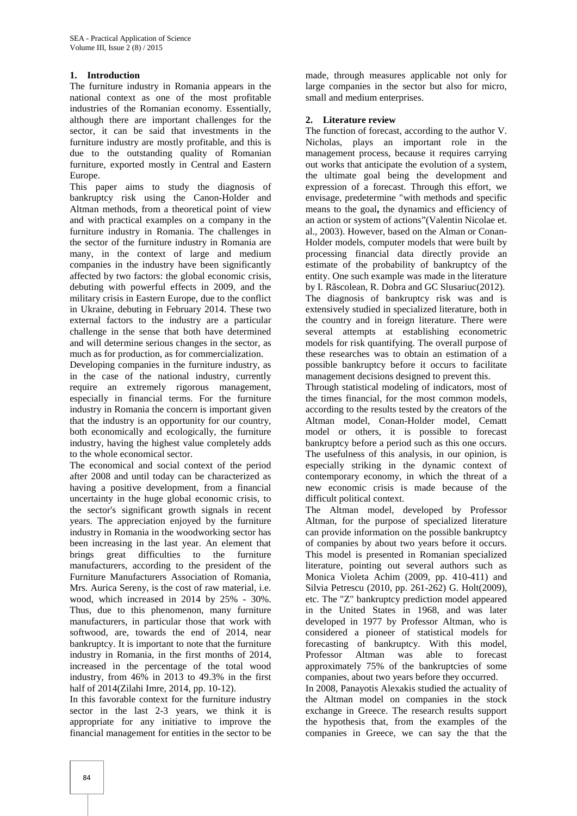## **1. Introduction**

The furniture industry in Romania appears in the national context as one of the most profitable industries of the Romanian economy. Essentially, although there are important challenges for the sector, it can be said that investments in the furniture industry are mostly profitable, and this is due to the outstanding quality of Romanian furniture, exported mostly in Central and Eastern Europe.

This paper aims to study the diagnosis of bankruptcy risk using the Canon-Holder and Altman methods, from a theoretical point of view and with practical examples on a company in the furniture industry in Romania. The challenges in the sector of the furniture industry in Romania are many, in the context of large and medium companies in the industry have been significantly affected by two factors: the global economic crisis, debuting with powerful effects in 2009, and the military crisis in Eastern Europe, due to the conflict in Ukraine, debuting in February 2014. These two external factors to the industry are a particular challenge in the sense that both have determined and will determine serious changes in the sector, as much as for production, as for commercialization.

Developing companies in the furniture industry, as in the case of the national industry, currently require an extremely rigorous management, especially in financial terms. For the furniture industry in Romania the concern is important given that the industry is an opportunity for our country, both economically and ecologically, the furniture industry, having the highest value completely adds to the whole economical sector.

The economical and social context of the period after 2008 and until today can be characterized as having a positive development, from a financial uncertainty in the huge global economic crisis, to the sector's significant growth signals in recent years. The appreciation enjoyed by the furniture industry in Romania in the woodworking sector has been increasing in the last year. An element that brings great difficulties to the furniture manufacturers, according to the president of the Furniture Manufacturers Association of Romania, Mrs. Aurica Sereny, is the cost of raw material, i.e. wood, which increased in 2014 by 25% - 30%. Thus, due to this phenomenon, many furniture manufacturers, in particular those that work with softwood, are, towards the end of 2014, near bankruptcy. It is important to note that the furniture industry in Romania, in the first months of 2014, increased in the percentage of the total wood industry, from 46% in 2013 to 49.3% in the first half of 2014(Zilahi Imre, 2014, pp. 10-12).

In this favorable context for the furniture industry sector in the last 2-3 years, we think it is appropriate for any initiative to improve the financial management for entities in the sector to be

made, through measures applicable not only for large companies in the sector but also for micro, small and medium enterprises.

#### **2. Literature review**

The function of forecast, according to the author V. Nicholas, plays an important role in the management process, because it requires carrying out works that anticipate the evolution of a system, the ultimate goal being the development and expression of a forecast. Through this effort, we envisage, predetermine "with methods and specific means to the goal**,** the dynamics and efficiency of an action or system of actions"(Valentin Nicolae et. al., 2003). However, based on the Alman or Conan- Holder models, computer models that were built by processing financial data directly provide an estimate of the probability of bankruptcy of the entity. One such example was made in the literature by I. R scolean, R. Dobra and GC Slusariuc(2012). The diagnosis of bankruptcy risk was and is extensively studied in specialized literature, both in the country and in foreign literature. There were several attempts at establishing econometric models for risk quantifying. The overall purpose of these researches was to obtain an estimation of a possible bankruptcy before it occurs to facilitate management decisions designed to prevent this.

Through statistical modeling of indicators, most of the times financial, for the most common models, according to the results tested by the creators of the Altman model, Conan-Holder model, Cematt model or others, it is possible to forecast bankruptcy before a period such as this one occurs. The usefulness of this analysis, in our opinion, is especially striking in the dynamic context of contemporary economy, in which the threat of a new economic crisis is made because of the difficult political context.

The Altman model, developed by Professor Altman, for the purpose of specialized literature can provide information on the possible bankruptcy of companies by about two years before it occurs. This model is presented in Romanian specialized literature, pointing out several authors such as Monica Violeta Achim (2009, pp. 410-411) and Silvia Petrescu (2010, pp. 261-262) G. Holt(2009), etc. The "Z" bankruptcy prediction model appeared in the United States in 1968, and was later developed in 1977 by Professor Altman, who is considered a pioneer of statistical models for forecasting of bankruptcy. With this model, Professor Altman was able to forecast approximately 75% of the bankruptcies of some companies, about two years before they occurred.

In 2008, Panayotis Alexakis studied the actuality of the Altman model on companies in the stock exchange in Greece. The research results support the hypothesis that, from the examples of the companies in Greece, we can say the that the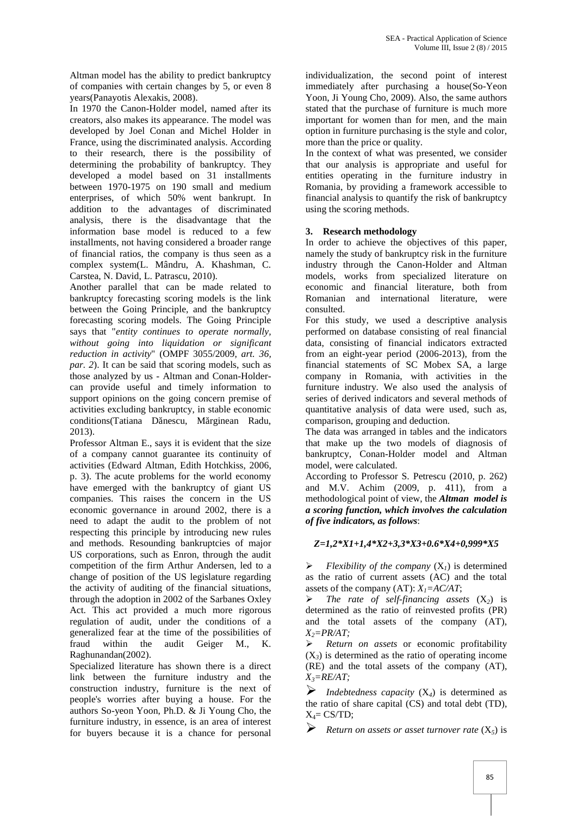Altman model has the ability to predict bankruptcy of companies with certain changes by 5, or even 8 years(Panayotis Alexakis, 2008).

In 1970 the Canon-Holder model, named after its creators, also makes its appearance. The model was developed by Joel Conan and Michel Holder in France, using the discriminated analysis. According to their research, there is the possibility of determining the probability of bankruptcy. They developed a model based on 31 installments between 1970-1975 on 190 small and medium enterprises, of which 50% went bankrupt. In addition to the advantages of discriminated analysis, there is the disadvantage that the information base model is reduced to a few installments, not having considered a broader range of financial ratios, the company is thus seen as a complex system(L. Mândru, A. Khashman, C. Carstea, N. David, L. Patrascu, 2010).

Another parallel that can be made related to bankruptcy forecasting scoring models is the link between the Going Principle, and the bankruptcy forecasting scoring models. The Going Principle says that "*entity continues to operate normally, without going into liquidation or significant reduction in activity*" (OMPF 3055/2009, *art. 36, par. 2*). It can be said that scoring models, such as those analyzed by us - Altman and Conan-Holder can provide useful and timely information to support opinions on the going concern premise of activities excluding bankruptcy, in stable economic conditions(Tatiana D nescu, M rginean Radu, 2013).

Professor Altman E., says it is evident that the size of a company cannot guarantee its continuity of activities (Edward Altman, Edith Hotchkiss, 2006, p. 3). The acute problems for the world economy have emerged with the bankruptcy of giant US companies. This raises the concern in the US economic governance in around 2002, there is a need to adapt the audit to the problem of not respecting this principle by introducing new rules and methods. Resounding bankruptcies of major US corporations, such as Enron, through the audit competition of the firm Arthur Andersen, led to a change of position of the US legislature regarding the activity of auditing of the financial situations, through the adoption in 2002 of the Sarbanes Oxley  $\triangleright$ Act. This act provided a much more rigorous regulation of audit, under the conditions of a generalized fear at the time of the possibilities of fraud within the audit Geiger M., K. Raghunandan(2002).

Specialized literature has shown there is a direct link between the furniture industry and the construction industry, furniture is the next of people's worries after buying a house. For the authors So-yeon Yoon, Ph.D. & Ji Young Cho, the furniture industry, in essence, is an area of interest for buyers because it is a chance for personal

individualization, the second point of interest immediately after purchasing a house(So-Yeon Yoon, Ji Young Cho, 2009). Also, the same authors stated that the purchase of furniture is much more important for women than for men, and the main option in furniture purchasing is the style and color, more than the price or quality.

In the context of what was presented, we consider that our analysis is appropriate and useful for entities operating in the furniture industry in Romania, by providing a framework accessible to financial analysis to quantify the risk of bankruptcy using the scoring methods.

## **3. Research methodology**

In order to achieve the objectives of this paper, namely the study of bankruptcy risk in the furniture industry through the Canon-Holder and Altman models, works from specialized literature on economic and financial literature, both from Romanian and international literature, were consulted.

For this study, we used a descriptive analysis performed on database consisting of real financial data, consisting of financial indicators extracted from an eight-year period (2006-2013), from the financial statements of SC Mobex SA, a large company in Romania, with activities in the furniture industry. We also used the analysis of series of derived indicators and several methods of quantitative analysis of data were used, such as, comparison, grouping and deduction.

The data was arranged in tables and the indicators that make up the two models of diagnosis of bankruptcy, Conan-Holder model and Altman model, were calculated.

According to Professor S. Petrescu (2010, p. 262) and M.V. Achim (2009, p. 411), from a methodological point of view, the *Altman model is a scoring function, which involves the calculation of five indicators, as follows*:

#### *Z=1,2\*X1+1,4\*X2+3,3\*X3+0.6\*X4+0,999\*X5*

*Flexibility of the company*  $(X_i)$  is determined as the ratio of current assets (AC) and the total assets of the company  $(AT): X_I = AC/AT$ ;

 *The rate of self-financing assets* (X*2*) is determined as the ratio of reinvested profits (PR) and the total assets of the company (AT), *X2=PR/AT;*

 *Return on assets* or economic profitability  $(X_3)$  is determined as the ratio of operating income (RE) and the total assets of the company (AT), *X3=RE/AT;*

*Indebtedness capacity*  $(X_4)$  is determined as the ratio of share capital (CS) and total debt (TD),  $X_4 = CS/TD$ ;

*Return on assets or asset turnover rate* (X*5*) is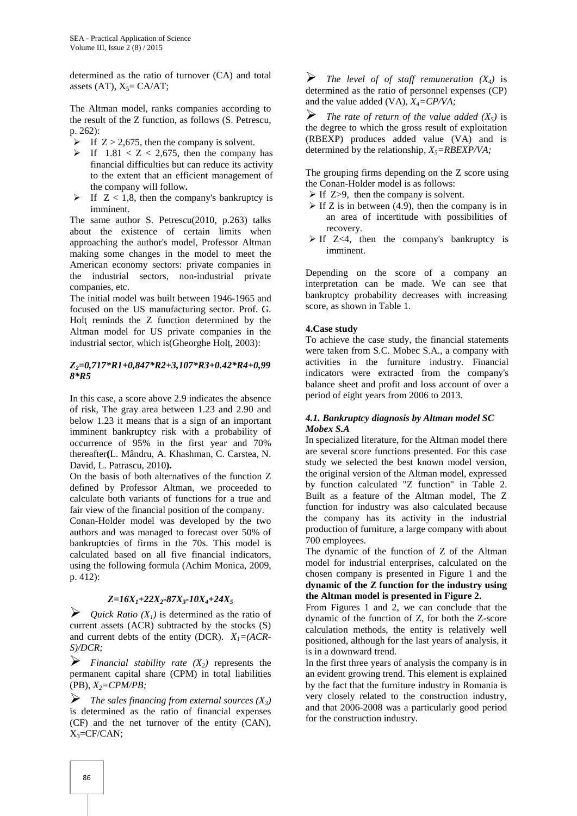determined as the ratio of turnover (CA) and total assets  $(AT)$ ,  $X_5 = CA/AT$ ;

The Altman model, ranks companies according to  $\sum_{n=1}^{\infty}$ the result of the Z function, as follows (S. Petrescu, p. 262):

- If  $Z > 2,675$ , then the company is solvent.
- If  $1.81 < Z < 2,675$ , then the company has financial difficulties but can reduce its activity to the extent that an efficient management of the company will follow**.**
- If  $Z < 1.8$ , then the company's bankruptcy is imminent.

The same author S. Petrescu(2010, p.263) talks about the existence of certain limits when approaching the author's model, Professor Altman making some changes in the model to meet the American economy sectors: private companies in the industrial sectors, non-industrial private companies, etc.

The initial model was built between 1946-1965 and focused on the US manufacturing sector. Prof. G. Hol reminds the Z function determined by the Altman model for US private companies in the industrial sector, which is(Gheorghe Holț, 2003):

#### *Z2=0,717\*R1+0,847\*R2+3,107\*R3+0.42\*R4+0,99 8\*R5*

In this case, a score above 2.9 indicates the absence of risk, The gray area between 1.23 and 2.90 and below 1.23 it means that is a sign of an important imminent bankruptcy risk with a probability of occurrence of 95% in the first year and 70% thereafter**(**L. Mândru, A. Khashman, C. Carstea, N. David, L. Patrascu, 2010**).**

On the basis of both alternatives of the function Z defined by Professor Altman, we proceeded to calculate both variants of functions for a true and fair view of the financial position of the company.

Conan-Holder model was developed by the two authors and was managed to forecast over 50% of bankruptcies of firms in the 70s. This model is calculated based on all five financial indicators, using the following formula (Achim Monica, 2009, p. 412):

#### *Z=16X1+22X2-87X3-10X4+24X<sup>5</sup>*

 $\triangleright$  *Quick Ratio (X<sub>1</sub>)* is determined as the ratio of current assets (ACR) subtracted by the stocks (S) and current debts of the entity (DCR). *X1=(ACR- S)/DCR;*

*Financial stability rate*  $(X_2)$  represents the permanent capital share (CPM) in total liabilities (PB), *X2=CPM/PB;*

 $\triangleright$  The sales financing from external sources  $(X_3)$ is determined as the ratio of financial expenses (CF) and the net turnover of the entity (CAN),  $X_3 = CF/CAN;$ 

**F** The level of of staff remuneration  $(X_4)$  is determined as the ratio of personnel expenses (CP) and the value added (VA), *X4=CP/VA;*

*The rate of return of the value added*  $(X_5)$  is the degree to which the gross result of exploitation (RBEXP) produces added value (VA) and is determined by the relationship,  $X_5 = RBEXP/VA$ ;

The grouping firms depending on the Z score using the Conan-Holder model is as follows:

- $\triangleright$  If Z>9, then the company is solvent.
- $\triangleright$  If Z is in between (4.9), then the company is in an area of incertitude with possibilities of recovery.
- $\triangleright$  If Z<4, then the company's bankruptcy is imminent.

Depending on the score of a company an interpretation can be made. We can see that bankruptcy probability decreases with increasing score, as shown in Table 1.

## **4.Case study**

To achieve the case study, the financial statements were taken from S.C. Mobec S.A., a company with activities in the furniture industry. Financial indicators were extracted from the company's balance sheet and profit and loss account of over a period of eight years from 2006 to 2013.

#### *4.1. Bankruptcy diagnosis by Altman model SC Mobex S.A*

In specialized literature, for the Altman model there are several score functions presented. For this case study we selected the best known model version, the original version of the Altman model, expressed by function calculated "Z function" in Table 2. Built as a feature of the Altman model, The Z function for industry was also calculated because the company has its activity in the industrial production of furniture, a large company with about 700 employees.

The dynamic of the function of Z of the Altman model for industrial enterprises, calculated on the chosen company is presented in Figure 1 and the **dynamic of the Z function for the industry using the Altman model is presented in Figure 2.**

From Figures 1 and 2, we can conclude that the dynamic of the function of Z, for both the Z-score calculation methods, the entity is relatively well positioned, although for the last years of analysis, it is in a downward trend.

In the first three years of analysis the company is in an evident growing trend. This element is explained by the fact that the furniture industry in Romania is very closely related to the construction industry, and that 2006-2008 was a particularly good period for the construction industry.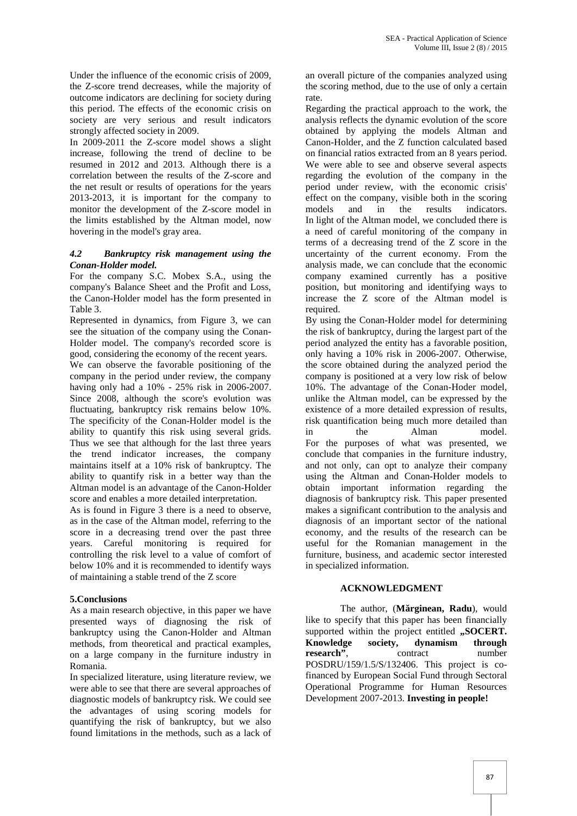Under the influence of the economic crisis of 2009, the Z-score trend decreases, while the majority of outcome indicators are declining for society during this period. The effects of the economic crisis on society are very serious and result indicators strongly affected society in 2009.

In 2009-2011 the Z-score model shows a slight increase, following the trend of decline to be resumed in 2012 and 2013. Although there is a correlation between the results of the Z-score and the net result or results of operations for the years 2013-2013, it is important for the company to monitor the development of the Z-score model in models the limits established by the Altman model, now hovering in the model's gray area.

#### *4.2 Bankruptcy risk management using the Conan-Holder model.*

For the company S.C. Mobex S.A., using the company's Balance Sheet and the Profit and Loss, the Canon-Holder model has the form presented in Table 3.

Represented in dynamics, from Figure 3, we can see the situation of the company using the Conan- Holder model. The company's recorded score is good, considering the economy of the recent years. We can observe the favorable positioning of the company in the period under review, the company having only had a 10% - 25% risk in 2006-2007. Since 2008, although the score's evolution was fluctuating, bankruptcy risk remains below 10%. The specificity of the Conan-Holder model is the ability to quantify this risk using several grids. Thus we see that although for the last three years the trend indicator increases, the company maintains itself at a 10% risk of bankruptcy. The ability to quantify risk in a better way than the Altman model is an advantage of the Canon-Holder score and enables a more detailed interpretation.

As is found in Figure 3 there is a need to observe, as in the case of the Altman model, referring to the score in a decreasing trend over the past three years. Careful monitoring is required for controlling the risk level to a value of comfort of below 10% and it is recommended to identify ways of maintaining a stable trend of the Z score

## **5.Conclusions**

As a main research objective, in this paper we have presented ways of diagnosing the risk of bankruptcy using the Canon-Holder and Altman methods, from theoretical and practical examples, on a large company in the furniture industry in Romania.

In specialized literature, using literature review, we were able to see that there are several approaches of diagnostic models of bankruptcy risk. We could see the advantages of using scoring models for quantifying the risk of bankruptcy, but we also found limitations in the methods, such as a lack of

an overall picture of the companies analyzed using the scoring method, due to the use of only a certain rate.

Regarding the practical approach to the work, the analysis reflects the dynamic evolution of the score obtained by applying the models Altman and Canon-Holder, and the Z function calculated based on financial ratios extracted from an 8 years period. We were able to see and observe several aspects regarding the evolution of the company in the period under review, with the economic crisis' effect on the company, visible both in the scoring and in the results indicators. In light of the Altman model, we concluded there is a need of careful monitoring of the company in terms of a decreasing trend of the Z score in the uncertainty of the current economy. From the analysis made, we can conclude that the economic company examined currently has a positive position, but monitoring and identifying ways to increase the Z score of the Altman model is required.

By using the Conan-Holder model for determining the risk of bankruptcy, during the largest part of the period analyzed the entity has a favorable position, only having a 10% risk in 2006-2007. Otherwise, the score obtained during the analyzed period the company is positioned at a very low risk of below 10%. The advantage of the Conan-Hoder model, unlike the Altman model, can be expressed by the existence of a more detailed expression of results, risk quantification being much more detailed than in the Alman model. For the purposes of what was presented, we conclude that companies in the furniture industry, and not only, can opt to analyze their company using the Altman and Conan-Holder models to obtain important information regarding the diagnosis of bankruptcy risk. This paper presented makes a significant contribution to the analysis and diagnosis of an important sector of the national economy, and the results of the research can be useful for the Romanian management in the furniture, business, and academic sector interested in specialized information.

#### **ACKNOWLEDGMENT**

The author, (M rginean, Radu), would like to specify that this paper has been financially supported within the project entitled "SOCERT. **Knowledge society, dynamism through research<sup>"</sup>, contract number** POSDRU/159/1.5/S/132406. This project is cofinanced by European Social Fund through Sectoral Operational Programme for Human Resources Development 2007-2013. **Investing in people!**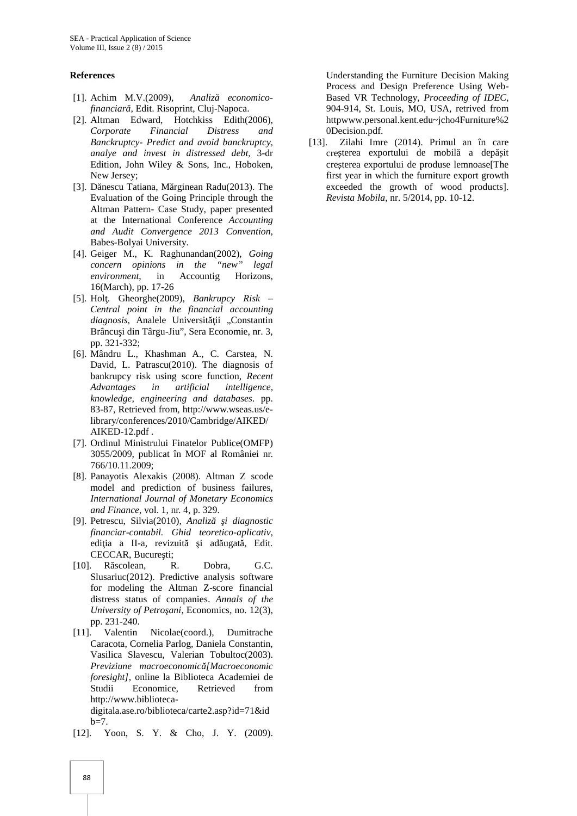#### **References**

- [1]. Achim M.V.(2009), Analiz economico*financiar*, Edit. Risoprint, Cluj-Napoca.
- [2]. Altman Edward, Hotchkiss Edith(2006), *Corporate Financial Distress and Banckruptcy- Predict and avoid banckruptcy, analye and invest in distressed debt,* 3-dr Edition, John Wiley & Sons, Inc., Hoboken, New Jersey;
- [3]. D nescu Tatiana, M rginean Radu(2013). The Evaluation of the Going Principle through the Altman Pattern- Case Study, paper presented at the International Conference *Accounting and Audit Convergence 2013 Convention*, Babes-Bolyai University.
- [4]. Geiger M., K. Raghunandan(2002), *Going concern opinions in the "new" legal environment*, in Accountig Horizons, 16(March), pp. 17-26
- [5]. Hol. Gheorghe(2009), *Bankrupcy Risk Central point in the financial accounting diagnosis*, Analele Universit ii "Constantin Brâncu i din Târgu-Jiu", Sera Economie, nr. 3, pp. 321-332;
- [6]. Mândru L., Khashman A., C. Carstea, N. David, L. Patrascu(2010). The diagnosis of bankrupcy risk using score function*, Recent Advantages in artificial intelligence, knowledge, engineering and databases*. pp. 83-87, Retrieved from, http://www.wseas.us/elibrary/conferences/2010/Cambridge/AIKED/ AIKED-12.pdf .
- [7]. Ordinul Ministrului Finatelor Publice(OMFP) 3055/2009, publicat în MOF al României nr. 766/10.11.2009;
- [8]. Panayotis Alexakis (2008). Altman Z scode model and prediction of business failures, *International Journal of Monetary Economics and Finance*, vol. 1, nr. 4, p. 329.
- [9]. Petrescu, Silvia(2010), *Analiz i diagnostic financiar-contabil. Ghid teoretico-aplicativ*, edi ia a II-a, revizuit i ad ugat, Edit. CECCAR, Bucure ti;
- [10]. R scolean, R. Dobra, G.C. Slusariuc(2012). Predictive analysis software for modeling the Altman Z-score financial distress status of companies. *Annals of the University of Petro ani*, Economics, no. 12(3), pp. 231-240.
- [11]. Valentin Nicolae(coord.), Dumitrache Caracota, Cornelia Parlog, Daniela Constantin, Vasilica Slavescu, Valerian Tobultoc(2003). *Previziune macroeconomică[Macroeconomic foresight],* online la Biblioteca Academiei de Studii Economice*,* Retrieved from http://www.biblioteca digitala.ase.ro/biblioteca/carte2.asp?id=71&id  $b=7$ .
- [12]. Yoon, S. Y. & Cho, J. Y. (2009).

Understanding the Furniture Decision Making Process and Design Preference Using Web- Based VR Technology, *Proceeding of IDEC,* 904-914, St. Louis, MO, USA, retrived from httpwww.personal.kent.edu~jcho4Furniture%2 0Decision.pdf.

[13]. Zilahi Imre (2014). Primul an în care cre terea exportului de mobil a dep it cre terea exportului de produse lemnoase[The first year in which the furniture export growth exceeded the growth of wood products]. *Revista Mobila*, nr. 5/2014, pp. 10-12.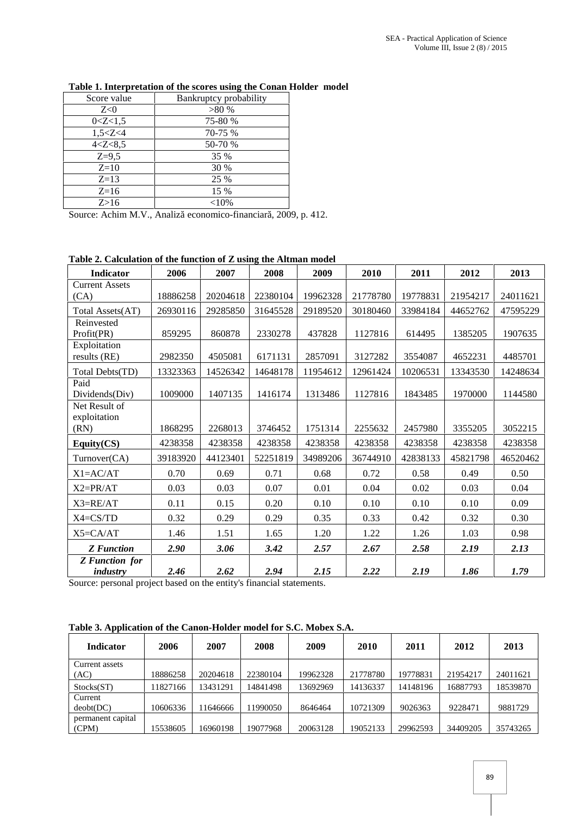| Score value | Bankruptcy probability |
|-------------|------------------------|
| Z<0         | >80%                   |
| 0 < Z < 1.5 | 75-80 %                |
| 1,5 < Z < 4 | 70-75 %                |
| 4 < Z < 8,5 | 50-70 %                |
| $Z=9,5$     | 35 %                   |
| $Z=10$      | 30 %                   |
| $Z=13$      | 25 %                   |
| $Z=16$      | 15 %                   |
| Z>16        | $<$ 10%                |

## **Table 1. Interpretation of the scores using the Conan Holder model**

Source: Achim M.V., Analiz economico-financiar, 2009, p. 412.

#### **Table 2. Calculation of the function of Z using the Altman model**

| Indicator                               | 2006     | 2007     | 2008     | 2009     | 2010     | 2011     | 2012     | 2013     |
|-----------------------------------------|----------|----------|----------|----------|----------|----------|----------|----------|
| <b>Current Assets</b>                   |          |          |          |          |          |          |          |          |
| (CA)                                    | 18886258 | 20204618 | 22380104 | 19962328 | 21778780 | 19778831 | 21954217 | 24011621 |
| Total Assets(AT)                        | 26930116 | 29285850 | 31645528 | 29189520 | 30180460 | 33984184 | 44652762 | 47595229 |
| Reinvested<br>Profit(PR)                | 859295   | 860878   | 2330278  | 437828   | 1127816  | 614495   | 1385205  | 1907635  |
| Exploitation<br>results (RE)            | 2982350  | 4505081  | 6171131  | 2857091  | 3127282  | 3554087  | 4652231  | 4485701  |
| Total Debts(TD)                         | 13323363 | 14526342 | 14648178 | 11954612 | 12961424 | 10206531 | 13343530 | 14248634 |
| Paid<br>Dividends(Div)<br>Net Result of | 1009000  | 1407135  | 1416174  | 1313486  | 1127816  | 1843485  | 1970000  | 1144580  |
| exploitation<br>(RN)                    | 1868295  | 2268013  | 3746452  | 1751314  | 2255632  | 2457980  | 3355205  | 3052215  |
| Equity $(CS)$                           | 4238358  | 4238358  | 4238358  | 4238358  | 4238358  | 4238358  | 4238358  | 4238358  |
| Turnover(CA)                            | 39183920 | 44123401 | 52251819 | 34989206 | 36744910 | 42838133 | 45821798 | 46520462 |
| $X1 = AC/AT$                            | 0.70     | 0.69     | 0.71     | 0.68     | 0.72     | 0.58     | 0.49     | 0.50     |
| $X2=PR/AT$                              | 0.03     | 0.03     | 0.07     | 0.01     | 0.04     | 0.02     | 0.03     | 0.04     |
| $X3=RE/AT$                              | 0.11     | 0.15     | 0.20     | 0.10     | 0.10     | 0.10     | 0.10     | 0.09     |
| $X4 = CS/TD$                            | 0.32     | 0.29     | 0.29     | 0.35     | 0.33     | 0.42     | 0.32     | 0.30     |
| $X5 = CA/AT$                            | 1.46     | 1.51     | 1.65     | 1.20     | 1.22     | 1.26     | 1.03     | 0.98     |
| <b>Z</b> Function                       | 2.90     | 3.06     | 3.42     | 2.57     | 2.67     | 2.58     | 2.19     | 2.13     |
| <b>Z</b> Function for<br>industry       | 2.46     | 2.62     | 2.94     | 2.15     | 2.22     | 2.19     | 1.86     | 1.79     |

Source: personal project based on the entity's financial statements.

**Table 3. Application of the Canon-Holder model for S.C. Mobex S.A.**

| <b>Indicator</b>  | 2006     | 2007     | 2008     | 2009     | 2010     | 2011     | 2012     | 2013     |
|-------------------|----------|----------|----------|----------|----------|----------|----------|----------|
| Current assets    |          |          |          |          |          |          |          |          |
| (AC)              | 18886258 | 20204618 | 22380104 | 19962328 | 21778780 | 19778831 | 21954217 | 24011621 |
| Stocks(ST)        | 11827166 | 13431291 | 14841498 | 13692969 | 14136337 | 14148196 | 16887793 | 18539870 |
| Current           |          |          |          |          |          |          |          |          |
| deobt(DC)         | 10606336 | 11646666 | 11990050 | 8646464  | 10721309 | 9026363  | 9228471  | 9881729  |
| permanent capital |          |          |          |          |          |          |          |          |
| (CPM)             | 15538605 | 16960198 | 19077968 | 20063128 | 19052133 | 29962593 | 34409205 | 35743265 |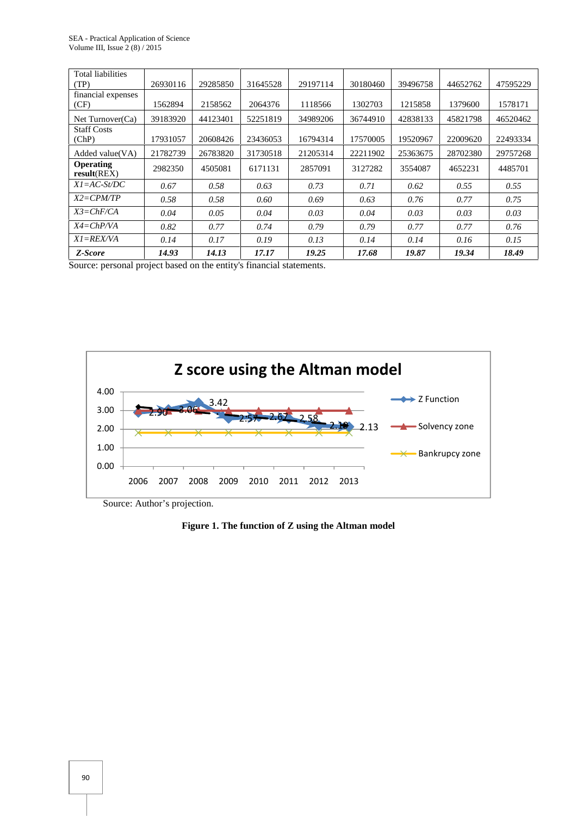| Total liabilities               |          |          |          |          |          |          |          |          |
|---------------------------------|----------|----------|----------|----------|----------|----------|----------|----------|
| (TP)                            | 26930116 | 29285850 | 31645528 | 29197114 | 30180460 | 39496758 | 44652762 | 47595229 |
| financial expenses              |          |          |          |          |          |          |          |          |
| (CF)                            | 1562894  | 2158562  | 2064376  | 1118566  | 1302703  | 1215858  | 1379600  | 1578171  |
| Net Turnover(Ca)                | 39183920 | 44123401 | 52251819 | 34989206 | 36744910 | 42838133 | 45821798 | 46520462 |
| <b>Staff Costs</b>              |          |          |          |          |          |          |          |          |
| (ChP)                           | 17931057 | 20608426 | 23436053 | 16794314 | 17570005 | 19520967 | 22009620 | 22493334 |
| Added value(VA)                 | 21782739 | 26783820 | 31730518 | 21205314 | 22211902 | 25363675 | 28702380 | 29757268 |
| <b>Operating</b><br>result(REX) | 2982350  | 4505081  | 6171131  | 2857091  | 3127282  | 3554087  | 4652231  | 4485701  |
| $XI = AC-St/DC$                 | 0.67     | 0.58     | 0.63     | 0.73     | 0.71     | 0.62     | 0.55     | 0.55     |
| $X2 = CPM/TP$                   | 0.58     | 0.58     | 0.60     | 0.69     | 0.63     | 0.76     | 0.77     | 0.75     |
| $X3 = ChF/CA$                   | 0.04     | 0.05     | 0.04     | 0.03     | 0.04     | 0.03     | 0.03     | 0.03     |
| $X4 = ChP/VA$                   | 0.82     | 0.77     | 0.74     | 0.79     | 0.79     | 0.77     | 0.77     | 0.76     |
| $XI = REX/VA$                   | 0.14     | 0.17     | 0.19     | 0.13     | 0.14     | 0.14     | 0.16     | 0.15     |
| Z-Score                         | 14.93    | 14.13    | 17.17    | 19.25    | 17.68    | 19.87    | 19.34    | 18.49    |

Source: personal project based on the entity's financial statements.



Source: Author's projection.

## **Figure 1. The function of Z using the Altman model**